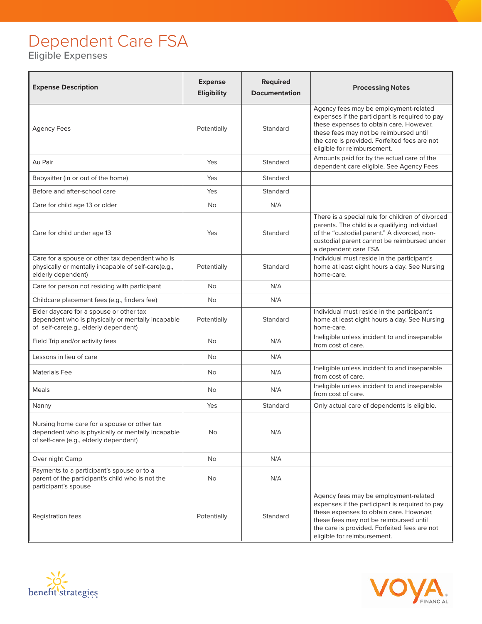## Dependent Care FSA

Eligible Expenses

| <b>Expense Description</b>                                                                                                                 | <b>Expense</b><br>Eligibility | <b>Required</b><br><b>Documentation</b> | <b>Processing Notes</b>                                                                                                                                                                                                                                     |
|--------------------------------------------------------------------------------------------------------------------------------------------|-------------------------------|-----------------------------------------|-------------------------------------------------------------------------------------------------------------------------------------------------------------------------------------------------------------------------------------------------------------|
| <b>Agency Fees</b>                                                                                                                         | Potentially                   | Standard                                | Agency fees may be employment-related<br>expenses if the participant is required to pay<br>these expenses to obtain care. However,<br>these fees may not be reimbursed until<br>the care is provided. Forfeited fees are not<br>eligible for reimbursement. |
| Au Pair                                                                                                                                    | Yes                           | Standard                                | Amounts paid for by the actual care of the<br>dependent care eligible. See Agency Fees                                                                                                                                                                      |
| Babysitter (in or out of the home)                                                                                                         | Yes                           | Standard                                |                                                                                                                                                                                                                                                             |
| Before and after-school care                                                                                                               | Yes                           | Standard                                |                                                                                                                                                                                                                                                             |
| Care for child age 13 or older                                                                                                             | No                            | N/A                                     |                                                                                                                                                                                                                                                             |
| Care for child under age 13                                                                                                                | Yes                           | Standard                                | There is a special rule for children of divorced<br>parents. The child is a qualifying individual<br>of the "custodial parent." A divorced, non-<br>custodial parent cannot be reimbursed under<br>a dependent care FSA.                                    |
| Care for a spouse or other tax dependent who is<br>physically or mentally incapable of self-care(e.g.,<br>elderly dependent)               | Potentially                   | Standard                                | Individual must reside in the participant's<br>home at least eight hours a day. See Nursing<br>home-care.                                                                                                                                                   |
| Care for person not residing with participant                                                                                              | <b>No</b>                     | N/A                                     |                                                                                                                                                                                                                                                             |
| Childcare placement fees (e.g., finders fee)                                                                                               | <b>No</b>                     | N/A                                     |                                                                                                                                                                                                                                                             |
| Elder daycare for a spouse or other tax<br>dependent who is physically or mentally incapable<br>of self-care(e.g., elderly dependent)      | Potentially                   | Standard                                | Individual must reside in the participant's<br>home at least eight hours a day. See Nursing<br>home-care.                                                                                                                                                   |
| Field Trip and/or activity fees                                                                                                            | <b>No</b>                     | N/A                                     | Ineligible unless incident to and inseparable<br>from cost of care.                                                                                                                                                                                         |
| Lessons in lieu of care                                                                                                                    | <b>No</b>                     | N/A                                     |                                                                                                                                                                                                                                                             |
| <b>Materials Fee</b>                                                                                                                       | No                            | N/A                                     | Ineligible unless incident to and inseparable<br>from cost of care.                                                                                                                                                                                         |
| Meals                                                                                                                                      | No                            | N/A                                     | Ineligible unless incident to and inseparable<br>from cost of care.                                                                                                                                                                                         |
| Nanny                                                                                                                                      | Yes                           | Standard                                | Only actual care of dependents is eligible.                                                                                                                                                                                                                 |
| Nursing home care for a spouse or other tax<br>dependent who is physically or mentally incapable<br>of self-care (e.g., elderly dependent) | No                            | N/A                                     |                                                                                                                                                                                                                                                             |
| Over night Camp                                                                                                                            | <b>No</b>                     | N/A                                     |                                                                                                                                                                                                                                                             |
| Payments to a participant's spouse or to a<br>parent of the participant's child who is not the<br>participant's spouse                     | No                            | N/A                                     |                                                                                                                                                                                                                                                             |
| Registration fees                                                                                                                          | Potentially                   | Standard                                | Agency fees may be employment-related<br>expenses if the participant is required to pay<br>these expenses to obtain care. However,<br>these fees may not be reimbursed until<br>the care is provided. Forfeited fees are not<br>eligible for reimbursement. |